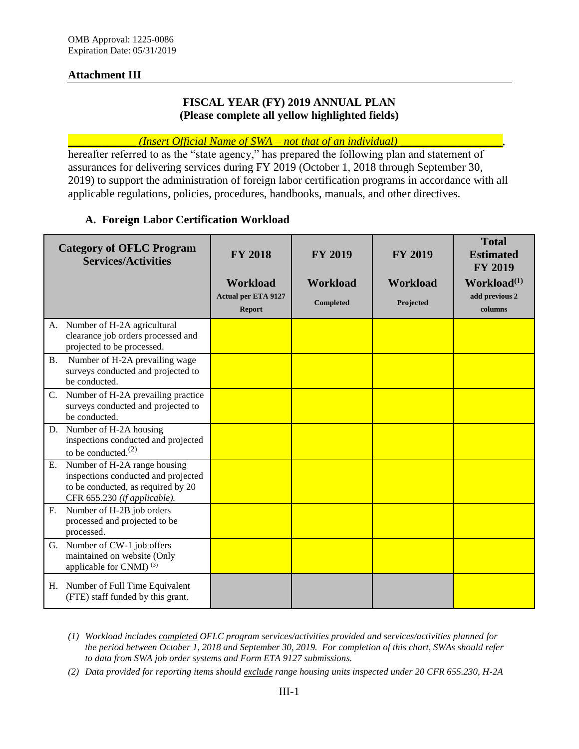### **Attachment III**

### **FISCAL YEAR (FY) 2019 ANNUAL PLAN (Please complete all yellow highlighted fields)**

### \_\_\_\_\_\_\_\_\_\_\_\_ *(Insert Official Name of SWA – not that of an individual)* \_\_\_\_\_\_\_\_\_\_\_\_\_\_\_\_\_\_,

hereafter referred to as the "state agency," has prepared the following plan and statement of assurances for delivering services during FY 2019 (October 1, 2018 through September 30, 2019) to support the administration of foreign labor certification programs in accordance with all applicable regulations, policies, procedures, handbooks, manuals, and other directives.

### **A. Foreign Labor Certification Workload**

| <b>Category of OFLC Program</b><br><b>Services/Activities</b>                                                                                   | <b>FY 2018</b><br><b>Workload</b><br><b>Actual per ETA 9127</b><br><b>Report</b> | <b>FY 2019</b><br><b>Workload</b><br><b>Completed</b> | <b>FY 2019</b><br><b>Workload</b><br>Projected | <b>Total</b><br><b>Estimated</b><br><b>FY 2019</b><br>Workload $^{(1)}$<br>add previous 2<br>columns |
|-------------------------------------------------------------------------------------------------------------------------------------------------|----------------------------------------------------------------------------------|-------------------------------------------------------|------------------------------------------------|------------------------------------------------------------------------------------------------------|
| A. Number of H-2A agricultural<br>clearance job orders processed and<br>projected to be processed.                                              |                                                                                  |                                                       |                                                |                                                                                                      |
| Number of H-2A prevailing wage<br><b>B.</b><br>surveys conducted and projected to<br>be conducted.                                              |                                                                                  |                                                       |                                                |                                                                                                      |
| C. Number of H-2A prevailing practice<br>surveys conducted and projected to<br>be conducted.                                                    |                                                                                  |                                                       |                                                |                                                                                                      |
| D. Number of H-2A housing<br>inspections conducted and projected<br>to be conducted. $^{(2)}$                                                   |                                                                                  |                                                       |                                                |                                                                                                      |
| Number of H-2A range housing<br>Ε.<br>inspections conducted and projected<br>to be conducted, as required by 20<br>CFR 655.230 (if applicable). |                                                                                  |                                                       |                                                |                                                                                                      |
| Number of H-2B job orders<br>F.<br>processed and projected to be<br>processed.                                                                  |                                                                                  |                                                       |                                                |                                                                                                      |
| G. Number of CW-1 job offers<br>maintained on website (Only<br>applicable for CNMI) <sup>(3)</sup>                                              |                                                                                  |                                                       |                                                |                                                                                                      |
| H. Number of Full Time Equivalent<br>(FTE) staff funded by this grant.                                                                          |                                                                                  |                                                       |                                                |                                                                                                      |

*<sup>(1)</sup> Workload includes completed OFLC program services/activities provided and services/activities planned for the period between October 1, 2018 and September 30, 2019. For completion of this chart, SWAs should refer to data from SWA job order systems and Form ETA 9127 submissions.* 

*(2) Data provided for reporting items should exclude range housing units inspected under 20 CFR 655.230, H-2A*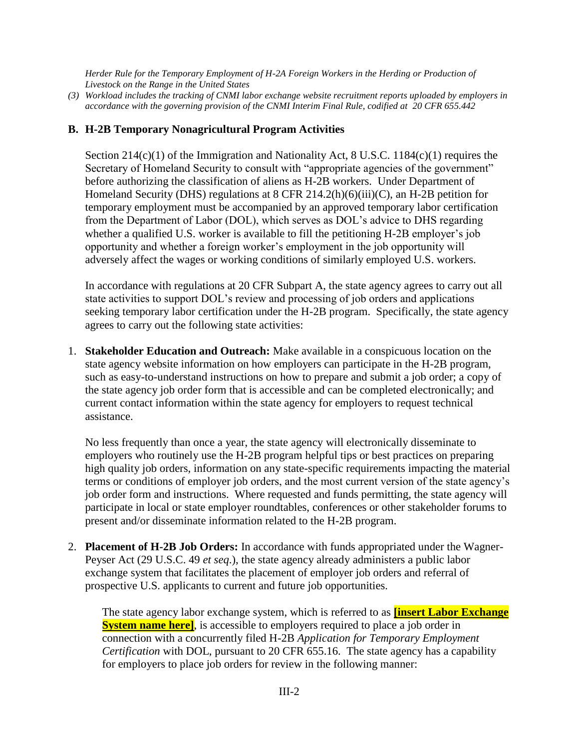*Herder Rule for the Temporary Employment of H-2A Foreign Workers in the Herding or Production of Livestock on the Range in the United States* 

*(3) Workload includes the tracking of CNMI labor exchange website recruitment reports uploaded by employers in accordance with the governing provision of the CNMI Interim Final Rule, codified at 20 CFR 655.442* 

# **B. H-2B Temporary Nonagricultural Program Activities**

Section 214(c)(1) of the Immigration and Nationality Act, 8 U.S.C. 1184(c)(1) requires the Secretary of Homeland Security to consult with "appropriate agencies of the government" before authorizing the classification of aliens as H-2B workers. Under Department of Homeland Security (DHS) regulations at 8 CFR 214.2(h)(6)(iii)(C), an H-2B petition for temporary employment must be accompanied by an approved temporary labor certification from the Department of Labor (DOL), which serves as DOL's advice to DHS regarding whether a qualified U.S. worker is available to fill the petitioning H-2B employer's job opportunity and whether a foreign worker's employment in the job opportunity will adversely affect the wages or working conditions of similarly employed U.S. workers.

In accordance with regulations at 20 CFR Subpart A, the state agency agrees to carry out all state activities to support DOL's review and processing of job orders and applications seeking temporary labor certification under the H-2B program. Specifically, the state agency agrees to carry out the following state activities:

1. **Stakeholder Education and Outreach:** Make available in a conspicuous location on the state agency website information on how employers can participate in the H-2B program, such as easy-to-understand instructions on how to prepare and submit a job order; a copy of the state agency job order form that is accessible and can be completed electronically; and current contact information within the state agency for employers to request technical assistance.

No less frequently than once a year, the state agency will electronically disseminate to employers who routinely use the H-2B program helpful tips or best practices on preparing high quality job orders, information on any state-specific requirements impacting the material terms or conditions of employer job orders, and the most current version of the state agency's job order form and instructions. Where requested and funds permitting, the state agency will participate in local or state employer roundtables, conferences or other stakeholder forums to present and/or disseminate information related to the H-2B program.

2. **Placement of H-2B Job Orders:** In accordance with funds appropriated under the Wagner-Peyser Act (29 U.S.C. 49 *et seq*.), the state agency already administers a public labor exchange system that facilitates the placement of employer job orders and referral of prospective U.S. applicants to current and future job opportunities.

The state agency labor exchange system, which is referred to as **[insert Labor Exchange System name here**, is accessible to employers required to place a job order in connection with a concurrently filed H-2B *Application for Temporary Employment Certification* with DOL, pursuant to 20 CFR 655.16. The state agency has a capability for employers to place job orders for review in the following manner: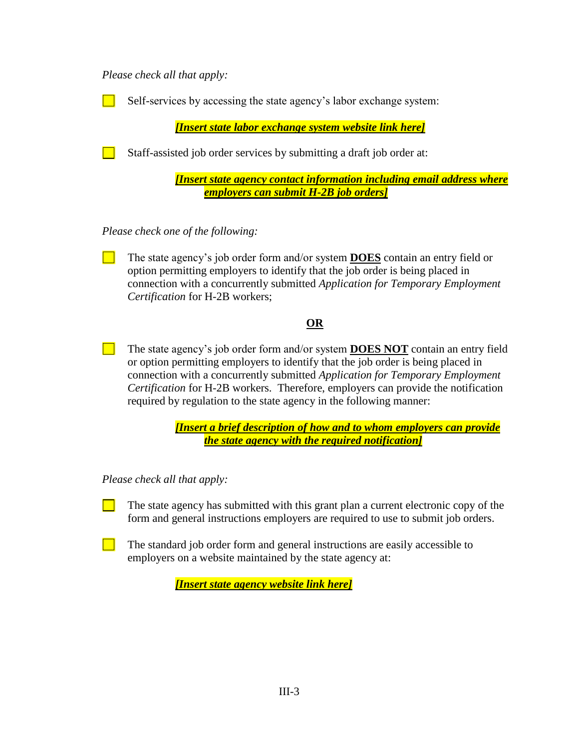*Please check all that apply:*

Self-services by accessing the state agency's labor exchange system:

*[Insert state labor exchange system website link here]*

Staff-assisted job order services by submitting a draft job order at:

*[Insert state agency contact information including email address where employers can submit H-2B job orders]*

*Please check one of the following:*

The state agency's job order form and/or system **DOES** contain an entry field or option permitting employers to identify that the job order is being placed in connection with a concurrently submitted *Application for Temporary Employment Certification* for H-2B workers;

# **OR**

The state agency's job order form and/or system **DOES NOT** contain an entry field or option permitting employers to identify that the job order is being placed in connection with a concurrently submitted *Application for Temporary Employment Certification* for H-2B workers. Therefore, employers can provide the notification required by regulation to the state agency in the following manner:

> *[Insert a brief description of how and to whom employers can provide the state agency with the required notification]*

*Please check all that apply:*

The state agency has submitted with this grant plan a current electronic copy of the form and general instructions employers are required to use to submit job orders.

The standard job order form and general instructions are easily accessible to employers on a website maintained by the state agency at:

*[Insert state agency website link here]*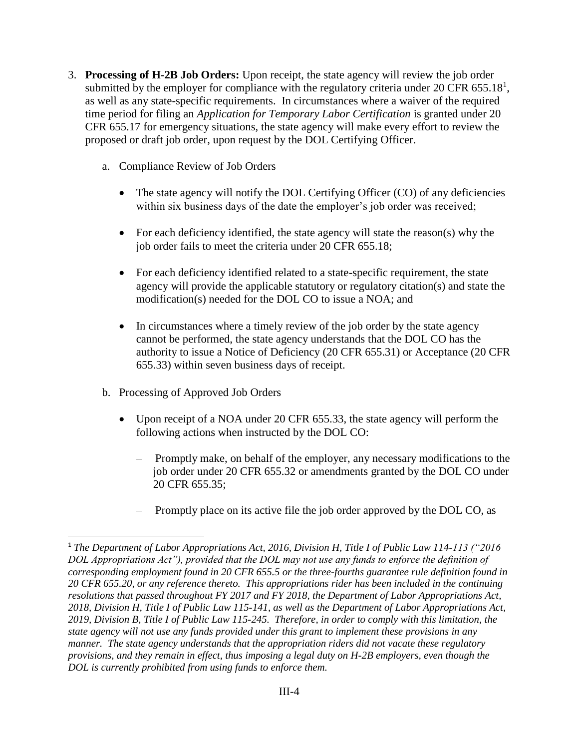- 3. **Processing of H-2B Job Orders:** Upon receipt, the state agency will review the job order submitted by the employer for compliance with the regulatory criteria under 20 CFR 655.18<sup>1</sup>, as well as any state-specific requirements. In circumstances where a waiver of the required time period for filing an *Application for Temporary Labor Certification* is granted under 20 CFR 655.17 for emergency situations, the state agency will make every effort to review the proposed or draft job order, upon request by the DOL Certifying Officer.
	- a. Compliance Review of Job Orders
		- The state agency will notify the DOL Certifying Officer (CO) of any deficiencies within six business days of the date the employer's job order was received;
		- For each deficiency identified, the state agency will state the reason(s) why the job order fails to meet the criteria under 20 CFR 655.18;
		- For each deficiency identified related to a state-specific requirement, the state agency will provide the applicable statutory or regulatory citation(s) and state the modification(s) needed for the DOL CO to issue a NOA; and
		- In circumstances where a timely review of the job order by the state agency cannot be performed, the state agency understands that the DOL CO has the authority to issue a Notice of Deficiency (20 CFR 655.31) or Acceptance (20 CFR 655.33) within seven business days of receipt.
	- b. Processing of Approved Job Orders

 $\overline{\phantom{a}}$ 

- Upon receipt of a NOA under 20 CFR 655.33, the state agency will perform the following actions when instructed by the DOL CO:
	- ‒ Promptly make, on behalf of the employer, any necessary modifications to the job order under 20 CFR 655.32 or amendments granted by the DOL CO under 20 CFR 655.35;
	- Promptly place on its active file the job order approved by the DOL CO, as

<sup>1</sup> *The Department of Labor Appropriations Act, 2016, Division H, Title I of Public Law 114-113 ("2016 DOL Appropriations Act"), provided that the DOL may not use any funds to enforce the definition of corresponding employment found in 20 CFR 655.5 or the three-fourths guarantee rule definition found in 20 CFR 655.20, or any reference thereto. This appropriations rider has been included in the continuing resolutions that passed throughout FY 2017 and FY 2018, the Department of Labor Appropriations Act, 2018, Division H, Title I of Public Law 115-141, as well as the Department of Labor Appropriations Act, 2019, Division B, Title I of Public Law 115-245. Therefore, in order to comply with this limitation, the state agency will not use any funds provided under this grant to implement these provisions in any manner. The state agency understands that the appropriation riders did not vacate these regulatory provisions, and they remain in effect, thus imposing a legal duty on H-2B employers, even though the DOL is currently prohibited from using funds to enforce them.*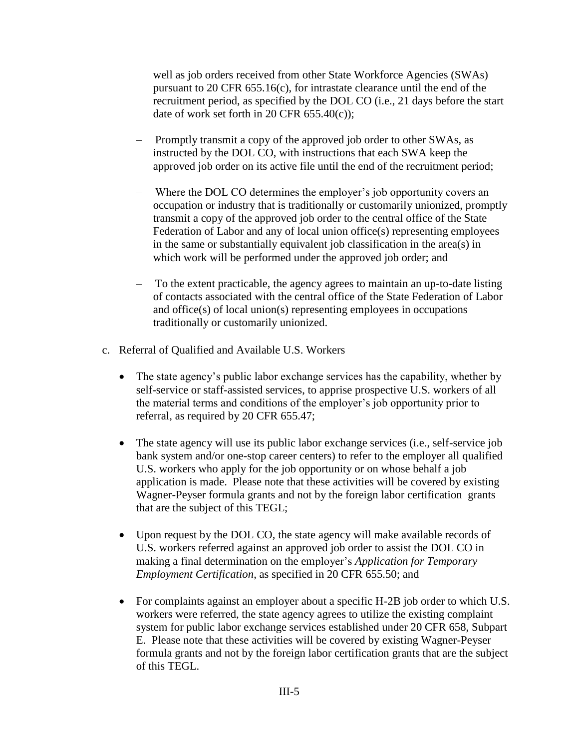well as job orders received from other State Workforce Agencies (SWAs) pursuant to 20 CFR 655.16(c), for intrastate clearance until the end of the recruitment period, as specified by the DOL CO (i.e., 21 days before the start date of work set forth in 20 CFR 655.40(c));

- ‒ Promptly transmit a copy of the approved job order to other SWAs, as instructed by the DOL CO, with instructions that each SWA keep the approved job order on its active file until the end of the recruitment period;
- ‒ Where the DOL CO determines the employer's job opportunity covers an occupation or industry that is traditionally or customarily unionized, promptly transmit a copy of the approved job order to the central office of the State Federation of Labor and any of local union office(s) representing employees in the same or substantially equivalent job classification in the area(s) in which work will be performed under the approved job order; and
- ‒ To the extent practicable, the agency agrees to maintain an up-to-date listing of contacts associated with the central office of the State Federation of Labor and office(s) of local union(s) representing employees in occupations traditionally or customarily unionized.
- c. Referral of Qualified and Available U.S. Workers
	- The state agency's public labor exchange services has the capability, whether by self-service or staff-assisted services, to apprise prospective U.S. workers of all the material terms and conditions of the employer's job opportunity prior to referral, as required by 20 CFR 655.47;
	- The state agency will use its public labor exchange services (i.e., self-service job bank system and/or one-stop career centers) to refer to the employer all qualified U.S. workers who apply for the job opportunity or on whose behalf a job application is made. Please note that these activities will be covered by existing Wagner-Peyser formula grants and not by the foreign labor certification grants that are the subject of this TEGL;
	- Upon request by the DOL CO, the state agency will make available records of U.S. workers referred against an approved job order to assist the DOL CO in making a final determination on the employer's *Application for Temporary Employment Certification*, as specified in 20 CFR 655.50; and
	- For complaints against an employer about a specific H-2B job order to which U.S. workers were referred, the state agency agrees to utilize the existing complaint system for public labor exchange services established under 20 CFR 658, Subpart E. Please note that these activities will be covered by existing Wagner-Peyser formula grants and not by the foreign labor certification grants that are the subject of this TEGL.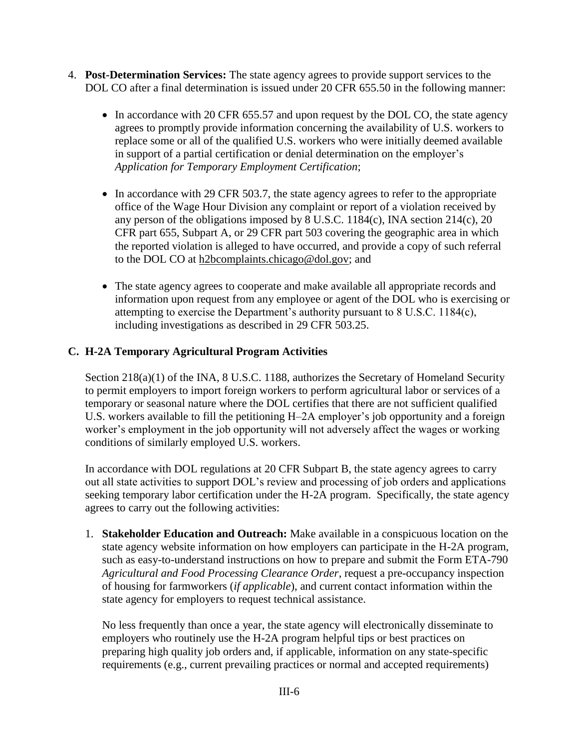- 4. **Post-Determination Services:** The state agency agrees to provide support services to the DOL CO after a final determination is issued under 20 CFR 655.50 in the following manner:
	- In accordance with 20 CFR 655.57 and upon request by the DOL CO, the state agency agrees to promptly provide information concerning the availability of U.S. workers to replace some or all of the qualified U.S. workers who were initially deemed available in support of a partial certification or denial determination on the employer's *Application for Temporary Employment Certification*;
	- In accordance with 29 CFR 503.7, the state agency agrees to refer to the appropriate office of the Wage Hour Division any complaint or report of a violation received by any person of the obligations imposed by  $\overline{8}$  U.S.C. 1184(c), INA section 214(c), 20 CFR part 655, Subpart A, or 29 CFR part 503 covering the geographic area in which the reported violation is alleged to have occurred, and provide a copy of such referral to the DOL CO at [h2bcomplaints.chicago@dol.gov;](mailto:h2bcomplaints.chicago@dol.gov) and
	- The state agency agrees to cooperate and make available all appropriate records and information upon request from any employee or agent of the DOL who is exercising or attempting to exercise the Department's authority pursuant to 8 U.S.C. 1184(c), including investigations as described in 29 CFR 503.25.

# **C. H-2A Temporary Agricultural Program Activities**

Section 218(a)(1) of the INA, 8 U.S.C. 1188, authorizes the Secretary of Homeland Security to permit employers to import foreign workers to perform agricultural labor or services of a temporary or seasonal nature where the DOL certifies that there are not sufficient qualified U.S. workers available to fill the petitioning H–2A employer's job opportunity and a foreign worker's employment in the job opportunity will not adversely affect the wages or working conditions of similarly employed U.S. workers.

In accordance with DOL regulations at 20 CFR Subpart B, the state agency agrees to carry out all state activities to support DOL's review and processing of job orders and applications seeking temporary labor certification under the H-2A program. Specifically, the state agency agrees to carry out the following activities:

1. **Stakeholder Education and Outreach:** Make available in a conspicuous location on the state agency website information on how employers can participate in the H-2A program, such as easy-to-understand instructions on how to prepare and submit the Form ETA-790 *Agricultural and Food Processing Clearance Order*, request a pre-occupancy inspection of housing for farmworkers (*if applicable*), and current contact information within the state agency for employers to request technical assistance.

No less frequently than once a year, the state agency will electronically disseminate to employers who routinely use the H-2A program helpful tips or best practices on preparing high quality job orders and, if applicable, information on any state-specific requirements (e.g., current prevailing practices or normal and accepted requirements)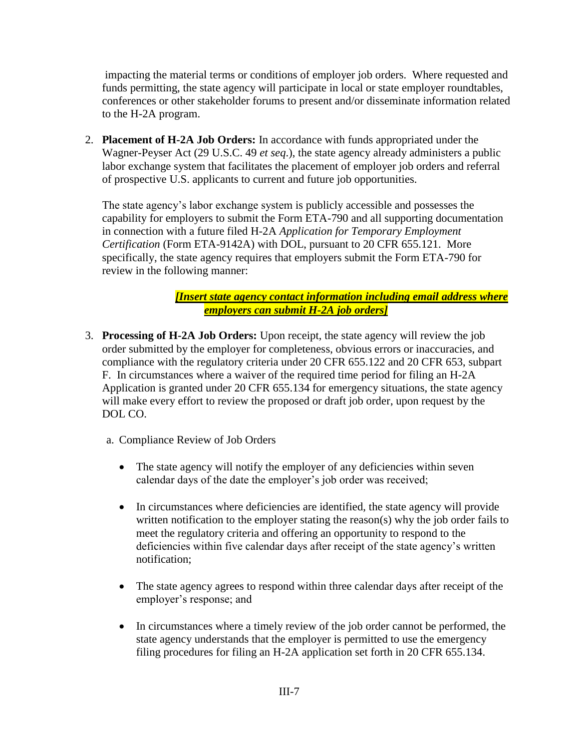impacting the material terms or conditions of employer job orders. Where requested and funds permitting, the state agency will participate in local or state employer roundtables, conferences or other stakeholder forums to present and/or disseminate information related to the H-2A program.

2. **Placement of H-2A Job Orders:** In accordance with funds appropriated under the Wagner-Peyser Act (29 U.S.C. 49 *et seq*.), the state agency already administers a public labor exchange system that facilitates the placement of employer job orders and referral of prospective U.S. applicants to current and future job opportunities.

The state agency's labor exchange system is publicly accessible and possesses the capability for employers to submit the Form ETA-790 and all supporting documentation in connection with a future filed H-2A *Application for Temporary Employment Certification* (Form ETA-9142A) with DOL, pursuant to 20 CFR 655.121. More specifically, the state agency requires that employers submit the Form ETA-790 for review in the following manner:

> *[Insert state agency contact information including email address where employers can submit H-2A job orders]*

- 3. **Processing of H-2A Job Orders:** Upon receipt, the state agency will review the job order submitted by the employer for completeness, obvious errors or inaccuracies, and compliance with the regulatory criteria under 20 CFR 655.122 and 20 CFR 653, subpart F. In circumstances where a waiver of the required time period for filing an H-2A Application is granted under 20 CFR 655.134 for emergency situations, the state agency will make every effort to review the proposed or draft job order, upon request by the DOL CO.
	- a. Compliance Review of Job Orders
		- The state agency will notify the employer of any deficiencies within seven calendar days of the date the employer's job order was received;
		- In circumstances where deficiencies are identified, the state agency will provide written notification to the employer stating the reason(s) why the job order fails to meet the regulatory criteria and offering an opportunity to respond to the deficiencies within five calendar days after receipt of the state agency's written notification;
		- The state agency agrees to respond within three calendar days after receipt of the employer's response; and
		- In circumstances where a timely review of the job order cannot be performed, the state agency understands that the employer is permitted to use the emergency filing procedures for filing an H-2A application set forth in 20 CFR 655.134.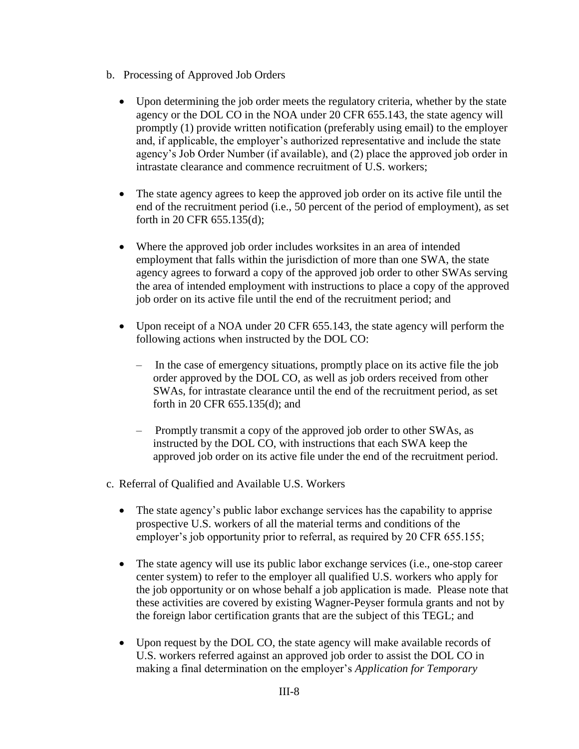- b. Processing of Approved Job Orders
	- Upon determining the job order meets the regulatory criteria, whether by the state agency or the DOL CO in the NOA under 20 CFR 655.143, the state agency will promptly (1) provide written notification (preferably using email) to the employer and, if applicable, the employer's authorized representative and include the state agency's Job Order Number (if available), and (2) place the approved job order in intrastate clearance and commence recruitment of U.S. workers;
	- The state agency agrees to keep the approved job order on its active file until the end of the recruitment period (i.e., 50 percent of the period of employment), as set forth in 20 CFR 655.135(d);
	- Where the approved job order includes worksites in an area of intended employment that falls within the jurisdiction of more than one SWA, the state agency agrees to forward a copy of the approved job order to other SWAs serving the area of intended employment with instructions to place a copy of the approved job order on its active file until the end of the recruitment period; and
	- Upon receipt of a NOA under 20 CFR 655.143, the state agency will perform the following actions when instructed by the DOL CO:
		- ‒ In the case of emergency situations, promptly place on its active file the job order approved by the DOL CO, as well as job orders received from other SWAs, for intrastate clearance until the end of the recruitment period, as set forth in 20 CFR 655.135(d); and
		- ‒ Promptly transmit a copy of the approved job order to other SWAs, as instructed by the DOL CO, with instructions that each SWA keep the approved job order on its active file under the end of the recruitment period.
- c. Referral of Qualified and Available U.S. Workers
	- The state agency's public labor exchange services has the capability to apprise prospective U.S. workers of all the material terms and conditions of the employer's job opportunity prior to referral, as required by 20 CFR 655.155;
	- The state agency will use its public labor exchange services (i.e., one-stop career center system) to refer to the employer all qualified U.S. workers who apply for the job opportunity or on whose behalf a job application is made. Please note that these activities are covered by existing Wagner-Peyser formula grants and not by the foreign labor certification grants that are the subject of this TEGL; and
	- Upon request by the DOL CO, the state agency will make available records of U.S. workers referred against an approved job order to assist the DOL CO in making a final determination on the employer's *Application for Temporary*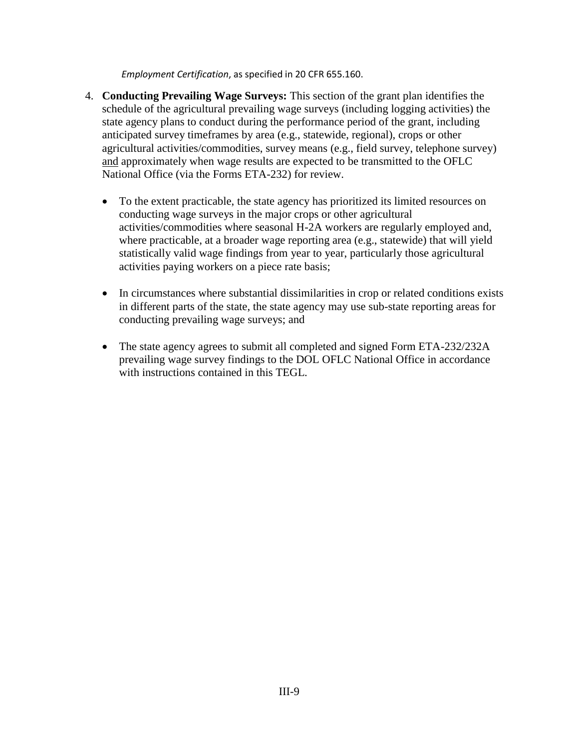*Employment Certification*, as specified in 20 CFR 655.160.

- 4. **Conducting Prevailing Wage Surveys:** This section of the grant plan identifies the schedule of the agricultural prevailing wage surveys (including logging activities) the state agency plans to conduct during the performance period of the grant, including anticipated survey timeframes by area (e.g., statewide, regional), crops or other agricultural activities/commodities, survey means (e.g., field survey, telephone survey) and approximately when wage results are expected to be transmitted to the OFLC National Office (via the Forms ETA-232) for review.
	- To the extent practicable, the state agency has prioritized its limited resources on conducting wage surveys in the major crops or other agricultural activities/commodities where seasonal H-2A workers are regularly employed and, where practicable, at a broader wage reporting area (e.g., statewide) that will yield statistically valid wage findings from year to year, particularly those agricultural activities paying workers on a piece rate basis;
	- In circumstances where substantial dissimilarities in crop or related conditions exists in different parts of the state, the state agency may use sub-state reporting areas for conducting prevailing wage surveys; and
	- The state agency agrees to submit all completed and signed Form ETA-232/232A prevailing wage survey findings to the DOL OFLC National Office in accordance with instructions contained in this TEGL.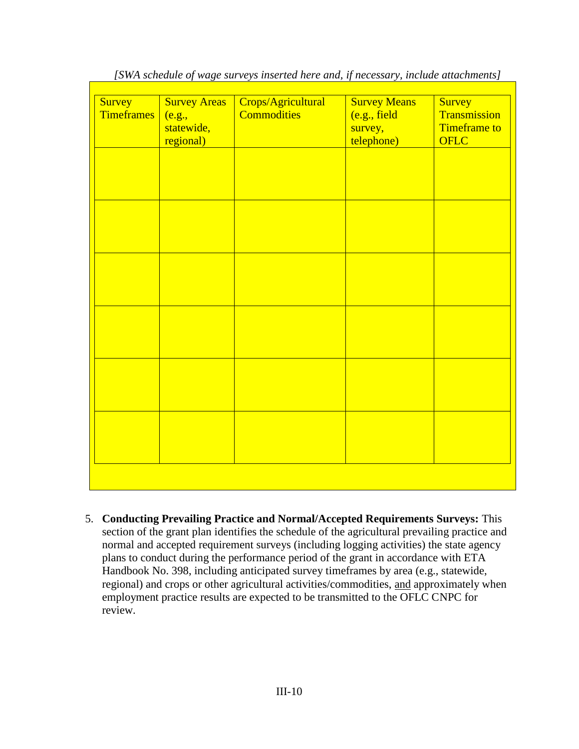| Survey<br><b>Timeframes</b> | <b>Survey Areas</b><br>(e.g.,<br>statewide,<br>regional) | Crops/Agricultural<br><b>Commodities</b> | <b>Survey Means</b><br>(e.g., field<br>survey,<br>telephone) | Survey<br>Transmission<br><b>Timeframe to</b><br><b>OFLC</b> |
|-----------------------------|----------------------------------------------------------|------------------------------------------|--------------------------------------------------------------|--------------------------------------------------------------|
|                             |                                                          |                                          |                                                              |                                                              |
|                             |                                                          |                                          |                                                              |                                                              |
|                             |                                                          |                                          |                                                              |                                                              |
|                             |                                                          |                                          |                                                              |                                                              |
|                             |                                                          |                                          |                                                              |                                                              |
|                             |                                                          |                                          |                                                              |                                                              |

*[SWA schedule of wage surveys inserted here and, if necessary, include attachments]*

5. **Conducting Prevailing Practice and Normal/Accepted Requirements Surveys:** This section of the grant plan identifies the schedule of the agricultural prevailing practice and normal and accepted requirement surveys (including logging activities) the state agency plans to conduct during the performance period of the grant in accordance with ETA Handbook No. 398, including anticipated survey timeframes by area (e.g., statewide, regional) and crops or other agricultural activities/commodities, and approximately when employment practice results are expected to be transmitted to the OFLC CNPC for review.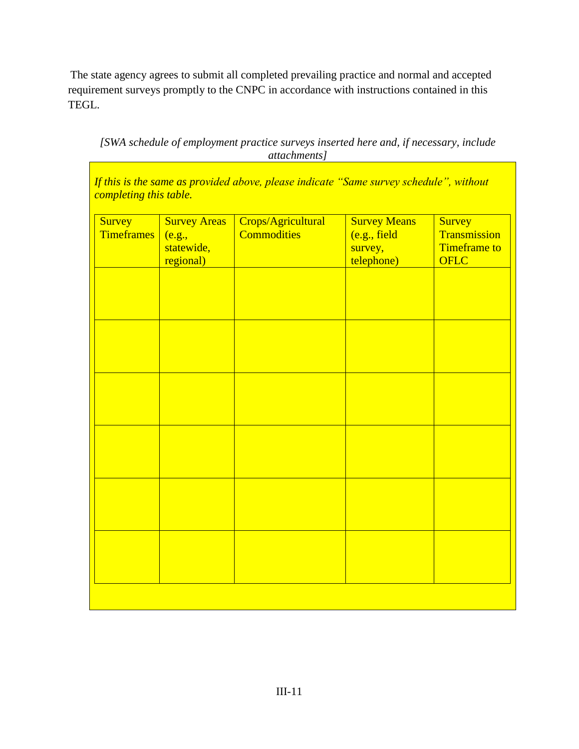The state agency agrees to submit all completed prevailing practice and normal and accepted requirement surveys promptly to the CNPC in accordance with instructions contained in this TEGL.

*[SWA schedule of employment practice surveys inserted here and, if necessary, include attachments]*

*If this is the same as provided above, please indicate "Same survey schedule", without completing this table.* 

| Survey<br><b>Timeframes</b> | <b>Survey Areas</b><br>(e.g.,<br>statewide,<br>regional) | Crops/Agricultural<br><b>Commodities</b> | <b>Survey Means</b><br>(e.g., field<br>survey,<br>telephone) | Survey<br>Transmission<br><b>Timeframe</b> to<br>OFLC |
|-----------------------------|----------------------------------------------------------|------------------------------------------|--------------------------------------------------------------|-------------------------------------------------------|
|                             |                                                          |                                          |                                                              |                                                       |
|                             |                                                          |                                          |                                                              |                                                       |
|                             |                                                          |                                          |                                                              |                                                       |
|                             |                                                          |                                          |                                                              |                                                       |
|                             |                                                          |                                          |                                                              |                                                       |
|                             |                                                          |                                          |                                                              |                                                       |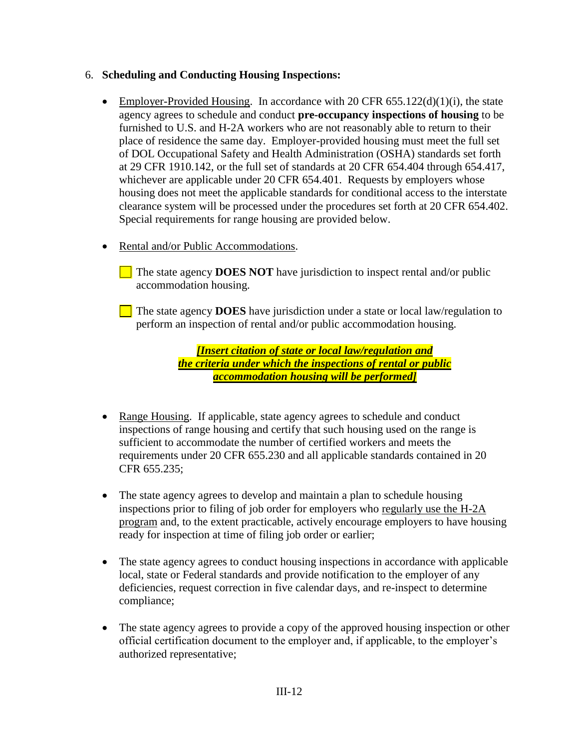# 6. **Scheduling and Conducting Housing Inspections:**

- Employer-Provided Housing. In accordance with 20 CFR  $655.122(d)(1)(i)$ , the state agency agrees to schedule and conduct **pre-occupancy inspections of housing** to be furnished to U.S. and H-2A workers who are not reasonably able to return to their place of residence the same day. Employer-provided housing must meet the full set of DOL Occupational Safety and Health Administration (OSHA) standards set forth at 29 CFR 1910.142, or the full set of standards at 20 CFR 654.404 through 654.417, whichever are applicable under 20 CFR 654.401. Requests by employers whose housing does not meet the applicable standards for conditional access to the interstate clearance system will be processed under the procedures set forth at 20 CFR 654.402. Special requirements for range housing are provided below.
- Rental and/or Public Accommodations.
	- The state agency **DOES NOT** have jurisdiction to inspect rental and/or public accommodation housing.
	- The state agency **DOES** have jurisdiction under a state or local law/regulation to perform an inspection of rental and/or public accommodation housing.

*[Insert citation of state or local law/regulation and the criteria under which the inspections of rental or public accommodation housing will be performed]*

- Range Housing. If applicable, state agency agrees to schedule and conduct inspections of range housing and certify that such housing used on the range is sufficient to accommodate the number of certified workers and meets the requirements under 20 CFR 655.230 and all applicable standards contained in 20 CFR 655.235;
- The state agency agrees to develop and maintain a plan to schedule housing inspections prior to filing of job order for employers who regularly use the H-2A program and, to the extent practicable, actively encourage employers to have housing ready for inspection at time of filing job order or earlier;
- The state agency agrees to conduct housing inspections in accordance with applicable local, state or Federal standards and provide notification to the employer of any deficiencies, request correction in five calendar days, and re-inspect to determine compliance;
- The state agency agrees to provide a copy of the approved housing inspection or other official certification document to the employer and, if applicable, to the employer's authorized representative;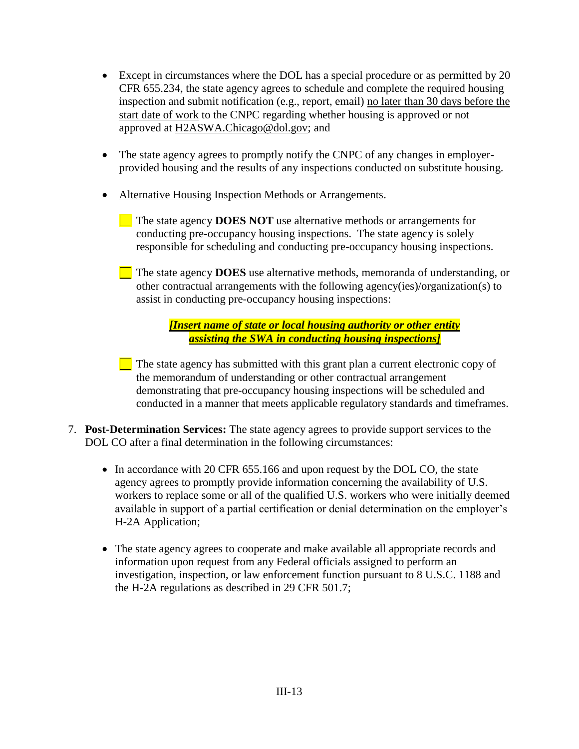- Except in circumstances where the DOL has a special procedure or as permitted by 20 CFR 655.234, the state agency agrees to schedule and complete the required housing inspection and submit notification (e.g., report, email) no later than 30 days before the start date of work to the CNPC regarding whether housing is approved or not approved at [H2ASWA.Chicago@dol.gov;](mailto:H2ASWA.Chicago@dol.gov) and
- The state agency agrees to promptly notify the CNPC of any changes in employerprovided housing and the results of any inspections conducted on substitute housing.
- Alternative Housing Inspection Methods or Arrangements.
	- The state agency **DOES NOT** use alternative methods or arrangements for conducting pre-occupancy housing inspections. The state agency is solely responsible for scheduling and conducting pre-occupancy housing inspections.
	- The state agency **DOES** use alternative methods, memoranda of understanding, or other contractual arrangements with the following agency(ies)/organization(s) to assist in conducting pre-occupancy housing inspections:

*[Insert name of state or local housing authority or other entity assisting the SWA in conducting housing inspections]*

 $\Box$  The state agency has submitted with this grant plan a current electronic copy of the memorandum of understanding or other contractual arrangement demonstrating that pre-occupancy housing inspections will be scheduled and conducted in a manner that meets applicable regulatory standards and timeframes.

- 7. **Post-Determination Services:** The state agency agrees to provide support services to the DOL CO after a final determination in the following circumstances:
	- In accordance with 20 CFR 655.166 and upon request by the DOL CO, the state agency agrees to promptly provide information concerning the availability of U.S. workers to replace some or all of the qualified U.S. workers who were initially deemed available in support of a partial certification or denial determination on the employer's H-2A Application;
	- The state agency agrees to cooperate and make available all appropriate records and information upon request from any Federal officials assigned to perform an investigation, inspection, or law enforcement function pursuant to 8 U.S.C. 1188 and the H-2A regulations as described in 29 CFR 501.7;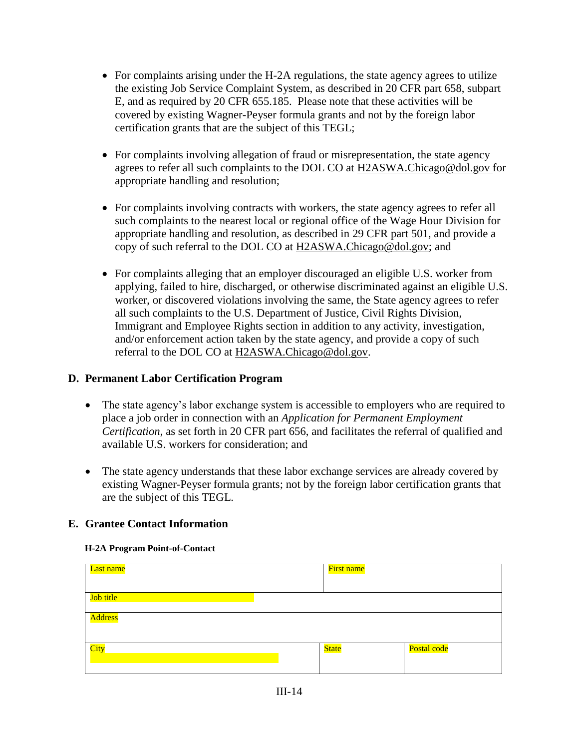- For complaints arising under the H-2A regulations, the state agency agrees to utilize the existing Job Service Complaint System, as described in 20 CFR part 658, subpart E, and as required by 20 CFR 655.185. Please note that these activities will be covered by existing Wagner-Peyser formula grants and not by the foreign labor certification grants that are the subject of this TEGL;
- For complaints involving allegation of fraud or misrepresentation, the state agency agrees to refer all such complaints to the DOL CO at [H2ASWA.Chicago@dol.gov](mailto:H2ASWA.Chicago@dol.gov) for appropriate handling and resolution;
- For complaints involving contracts with workers, the state agency agrees to refer all such complaints to the nearest local or regional office of the Wage Hour Division for appropriate handling and resolution, as described in 29 CFR part 501, and provide a copy of such referral to the DOL CO at [H2ASWA.Chicago@dol.gov;](mailto:H2ASWA.Chicago@dol.gov) and
- For complaints alleging that an employer discouraged an eligible U.S. worker from applying, failed to hire, discharged, or otherwise discriminated against an eligible U.S. worker, or discovered violations involving the same, the State agency agrees to refer all such complaints to the U.S. Department of Justice, Civil Rights Division, Immigrant and Employee Rights section in addition to any activity, investigation, and/or enforcement action taken by the state agency, and provide a copy of such referral to the DOL CO at [H2ASWA.Chicago@dol.gov.](mailto:H2ASWA.Chicago@dol.gov)

# **D. Permanent Labor Certification Program**

- The state agency's labor exchange system is accessible to employers who are required to place a job order in connection with an *Application for Permanent Employment Certification*, as set forth in 20 CFR part 656, and facilitates the referral of qualified and available U.S. workers for consideration; and
- The state agency understands that these labor exchange services are already covered by existing Wagner-Peyser formula grants; not by the foreign labor certification grants that are the subject of this TEGL.

# **E. Grantee Contact Information**

#### **H-2A Program Point-of-Contact**

| Last name      | First name   |             |
|----------------|--------------|-------------|
|                |              |             |
| Job title      |              |             |
| <b>Address</b> |              |             |
|                |              |             |
| City           | <b>State</b> | Postal code |
|                |              |             |